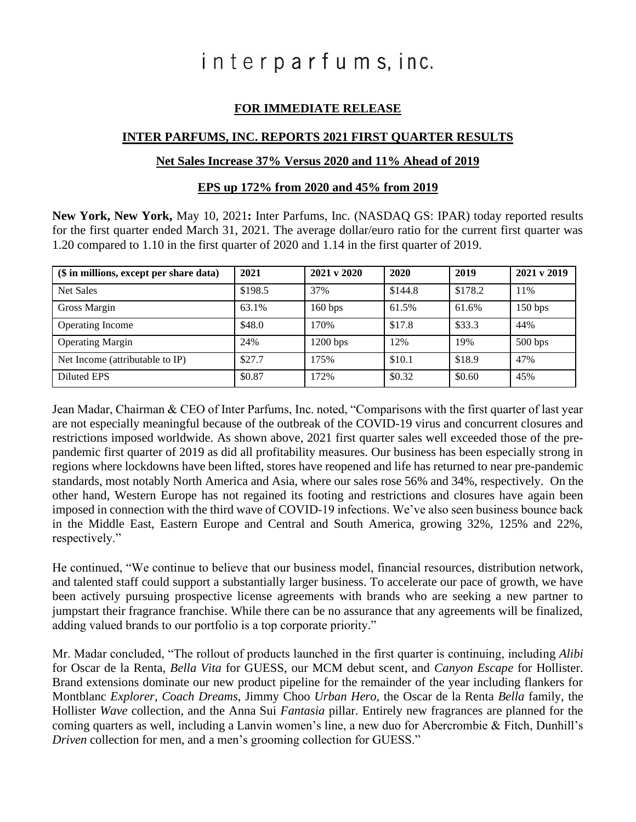# interparfums, inc.

# **FOR IMMEDIATE RELEASE**

### **INTER PARFUMS, INC. REPORTS 2021 FIRST QUARTER RESULTS**

#### **Net Sales Increase 37% Versus 2020 and 11% Ahead of 2019**

#### **EPS up 172% from 2020 and 45% from 2019**

**New York, New York,** May 10, 2021**:** Inter Parfums, Inc. (NASDAQ GS: IPAR) today reported results for the first quarter ended March 31, 2021. The average dollar/euro ratio for the current first quarter was 1.20 compared to 1.10 in the first quarter of 2020 and 1.14 in the first quarter of 2019.

| (\$ in millions, except per share data) | 2021    | $2021 \text{ y } 2020$ | 2020    | 2019    | $2021 \text{ y } 2019$ |
|-----------------------------------------|---------|------------------------|---------|---------|------------------------|
| <b>Net Sales</b>                        | \$198.5 | 37%                    | \$144.8 | \$178.2 | 11%                    |
| <b>Gross Margin</b>                     | 63.1%   | 160 bps                | 61.5%   | 61.6%   | 150 bps                |
| <b>Operating Income</b>                 | \$48.0  | 170%                   | \$17.8  | \$33.3  | 44%                    |
| <b>Operating Margin</b>                 | 24%     | $1200$ bps             | 12%     | 19%     | 500 bps                |
| Net Income (attributable to IP)         | \$27.7  | 175%                   | \$10.1  | \$18.9  | 47%                    |
| Diluted EPS                             | \$0.87  | 172%                   | \$0.32  | \$0.60  | 45%                    |

Jean Madar, Chairman & CEO of Inter Parfums, Inc. noted, "Comparisons with the first quarter of last year are not especially meaningful because of the outbreak of the COVID-19 virus and concurrent closures and restrictions imposed worldwide. As shown above, 2021 first quarter sales well exceeded those of the prepandemic first quarter of 2019 as did all profitability measures. Our business has been especially strong in regions where lockdowns have been lifted, stores have reopened and life has returned to near pre-pandemic standards, most notably North America and Asia, where our sales rose 56% and 34%, respectively. On the other hand, Western Europe has not regained its footing and restrictions and closures have again been imposed in connection with the third wave of COVID-19 infections. We've also seen business bounce back in the Middle East, Eastern Europe and Central and South America, growing 32%, 125% and 22%, respectively."

He continued, "We continue to believe that our business model, financial resources, distribution network, and talented staff could support a substantially larger business. To accelerate our pace of growth, we have been actively pursuing prospective license agreements with brands who are seeking a new partner to jumpstart their fragrance franchise. While there can be no assurance that any agreements will be finalized, adding valued brands to our portfolio is a top corporate priority."

Mr. Madar concluded, "The rollout of products launched in the first quarter is continuing, including *Alibi*  for Oscar de la Renta, *Bella Vita* for GUESS, our MCM debut scent, and *Canyon Escape* for Hollister. Brand extensions dominate our new product pipeline for the remainder of the year including flankers for Montblanc *Explorer, Coach Dreams*, Jimmy Choo *Urban Hero,* the Oscar de la Renta *Bella* family, the Hollister *Wave* collection, and the Anna Sui *Fantasia* pillar. Entirely new fragrances are planned for the coming quarters as well, including a Lanvin women's line, a new duo for Abercrombie & Fitch, Dunhill's *Driven* collection for men, and a men's grooming collection for GUESS."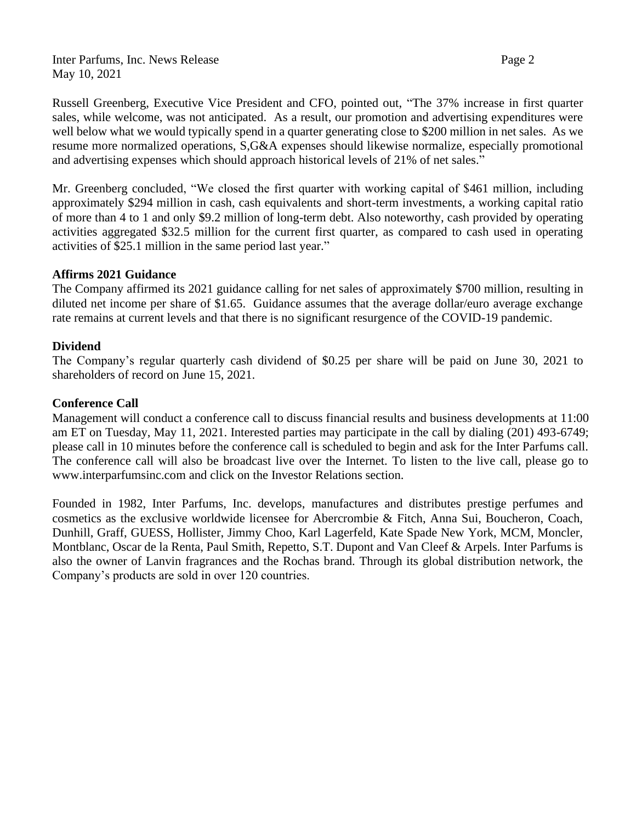Inter Parfums, Inc. News Release Page 2 May 10, 2021

Russell Greenberg, Executive Vice President and CFO, pointed out, "The 37% increase in first quarter sales, while welcome, was not anticipated. As a result, our promotion and advertising expenditures were well below what we would typically spend in a quarter generating close to \$200 million in net sales. As we resume more normalized operations, S,G&A expenses should likewise normalize, especially promotional and advertising expenses which should approach historical levels of 21% of net sales."

Mr. Greenberg concluded, "We closed the first quarter with working capital of \$461 million, including approximately \$294 million in cash, cash equivalents and short-term investments, a working capital ratio of more than 4 to 1 and only \$9.2 million of long-term debt. Also noteworthy, cash provided by operating activities aggregated \$32.5 million for the current first quarter, as compared to cash used in operating activities of \$25.1 million in the same period last year."

#### **Affirms 2021 Guidance**

The Company affirmed its 2021 guidance calling for net sales of approximately \$700 million, resulting in diluted net income per share of \$1.65. Guidance assumes that the average dollar/euro average exchange rate remains at current levels and that there is no significant resurgence of the COVID-19 pandemic.

#### **Dividend**

The Company's regular quarterly cash dividend of \$0.25 per share will be paid on June 30, 2021 to shareholders of record on June 15, 2021.

#### **Conference Call**

Management will conduct a conference call to discuss financial results and business developments at 11:00 am ET on Tuesday, May 11, 2021. Interested parties may participate in the call by dialing (201) 493-6749; please call in 10 minutes before the conference call is scheduled to begin and ask for the Inter Parfums call. The conference call will also be broadcast live over the Internet. To listen to the live call, please go to [www.interparfumsinc.com](http://www.interparfumsinc.com/) and click on the Investor Relations section.

Founded in 1982, Inter Parfums, Inc. develops, manufactures and distributes prestige perfumes and cosmetics as the exclusive worldwide licensee for Abercrombie & Fitch, Anna Sui, Boucheron, Coach, Dunhill, Graff, GUESS, Hollister, Jimmy Choo, Karl Lagerfeld, Kate Spade New York, MCM, Moncler, Montblanc, Oscar de la Renta, Paul Smith, Repetto, S.T. Dupont and Van Cleef & Arpels. Inter Parfums is also the owner of Lanvin fragrances and the Rochas brand. Through its global distribution network, the Company's products are sold in over 120 countries.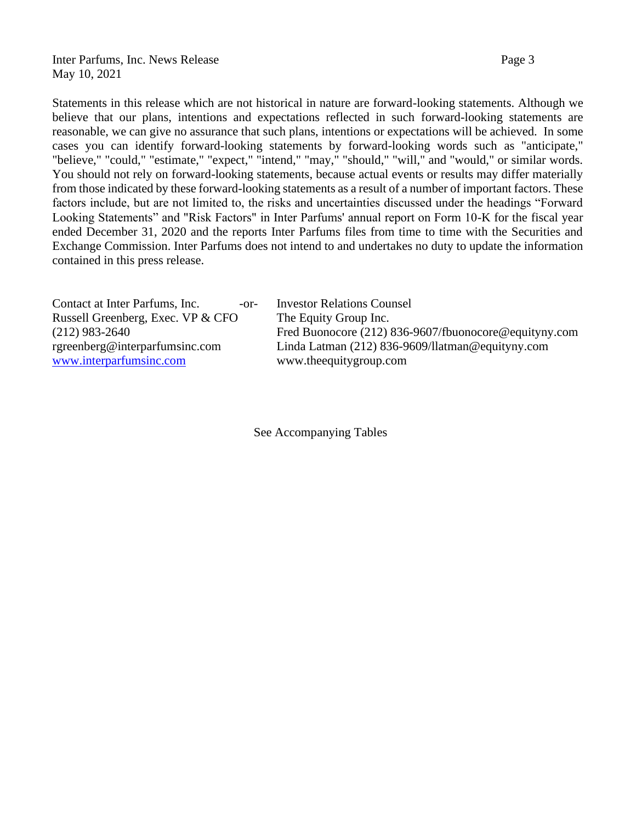Inter Parfums, Inc. News Release Page 3 May 10, 2021

Statements in this release which are not historical in nature are forward-looking statements. Although we believe that our plans, intentions and expectations reflected in such forward-looking statements are reasonable, we can give no assurance that such plans, intentions or expectations will be achieved. In some cases you can identify forward-looking statements by forward-looking words such as "anticipate," "believe," "could," "estimate," "expect," "intend," "may," "should," "will," and "would," or similar words. You should not rely on forward-looking statements, because actual events or results may differ materially from those indicated by these forward-looking statements as a result of a number of important factors. These factors include, but are not limited to, the risks and uncertainties discussed under the headings "Forward Looking Statements" and "Risk Factors" in Inter Parfums' annual report on Form 10-K for the fiscal year ended December 31, 2020 and the reports Inter Parfums files from time to time with the Securities and Exchange Commission. Inter Parfums does not intend to and undertakes no duty to update the information contained in this press release.

| Contact at Inter Parfums, Inc.<br>$-0r-$ | <b>Investor Relations Counsel</b>                     |
|------------------------------------------|-------------------------------------------------------|
| Russell Greenberg, Exec. VP & CFO        | The Equity Group Inc.                                 |
| $(212)$ 983-2640                         | Fred Buonocore (212) 836-9607/fbuonocore@equityny.com |
| rgreenberg@interparfumsinc.com           | Linda Latman $(212)$ 836-9609/llatman@equityny.com    |
| www.interparfumsinc.com                  | www.theequitygroup.com                                |

See Accompanying Tables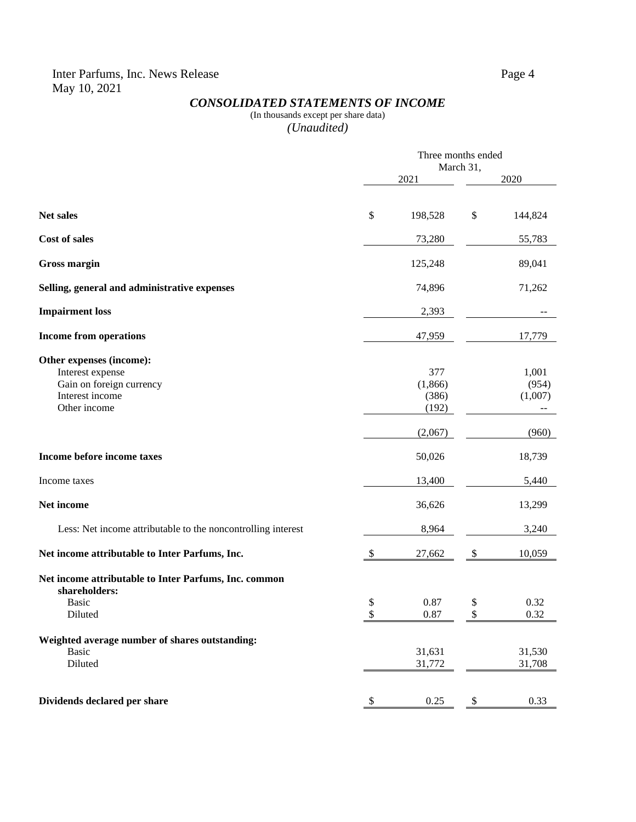## *CONSOLIDATED STATEMENTS OF INCOME*

#### (In thousands except per share data) *(Unaudited)*

|                                                                                                             |                           | Three months ended<br>March 31,  |          |                                  |  |
|-------------------------------------------------------------------------------------------------------------|---------------------------|----------------------------------|----------|----------------------------------|--|
|                                                                                                             |                           | 2021                             |          | 2020                             |  |
|                                                                                                             |                           |                                  |          |                                  |  |
| <b>Net sales</b>                                                                                            | \$                        | 198,528                          | $\$$     | 144,824                          |  |
| Cost of sales                                                                                               |                           | 73,280                           |          | 55,783                           |  |
| <b>Gross margin</b>                                                                                         |                           | 125,248                          |          | 89,041                           |  |
| Selling, general and administrative expenses                                                                |                           | 74,896                           |          | 71,262                           |  |
| <b>Impairment</b> loss                                                                                      |                           | 2,393                            |          |                                  |  |
| <b>Income from operations</b>                                                                               |                           | 47,959                           |          | 17,779                           |  |
| Other expenses (income):<br>Interest expense<br>Gain on foreign currency<br>Interest income<br>Other income |                           | 377<br>(1,866)<br>(386)<br>(192) |          | 1,001<br>(954)<br>(1,007)<br>$-$ |  |
|                                                                                                             |                           | (2,067)                          |          | (960)                            |  |
| Income before income taxes                                                                                  |                           | 50,026                           |          | 18,739                           |  |
| Income taxes                                                                                                |                           | 13,400                           |          | 5,440                            |  |
| Net income                                                                                                  |                           | 36,626                           |          | 13,299                           |  |
| Less: Net income attributable to the noncontrolling interest                                                |                           | 8,964                            |          | 3,240                            |  |
| Net income attributable to Inter Parfums, Inc.                                                              | $\boldsymbol{\mathsf{S}}$ | 27,662                           | \$       | 10,059                           |  |
| Net income attributable to Inter Parfums, Inc. common<br>shareholders:<br><b>Basic</b><br>Diluted           | \$<br>\$                  | 0.87<br>0.87                     | \$<br>\$ | 0.32<br>0.32                     |  |
| Weighted average number of shares outstanding:<br><b>Basic</b><br>Diluted                                   |                           | 31,631<br>31,772                 |          | 31,530<br>31,708                 |  |
| Dividends declared per share                                                                                | \$                        | 0.25                             | \$       | 0.33                             |  |